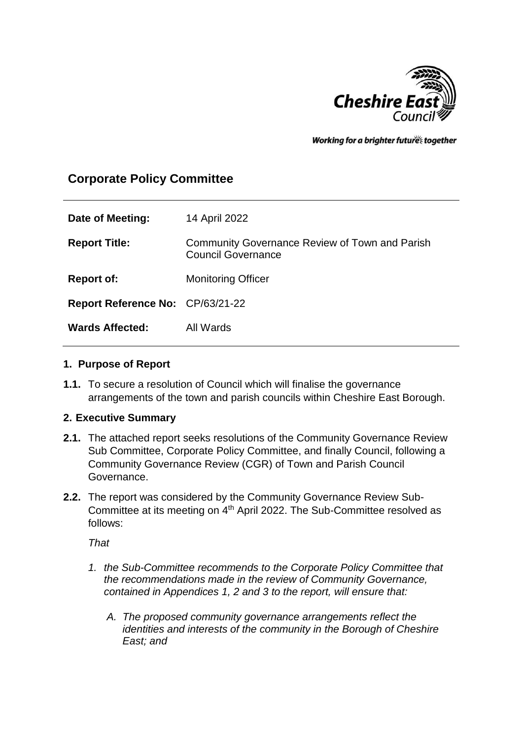

Working for a brighter futures together

# **Corporate Policy Committee**

| Date of Meeting:                        | 14 April 2022                                                                      |
|-----------------------------------------|------------------------------------------------------------------------------------|
| <b>Report Title:</b>                    | <b>Community Governance Review of Town and Parish</b><br><b>Council Governance</b> |
| <b>Report of:</b>                       | <b>Monitoring Officer</b>                                                          |
| <b>Report Reference No: CP/63/21-22</b> |                                                                                    |
| <b>Wards Affected:</b>                  | All Wards                                                                          |

### **1. Purpose of Report**

**1.1.** To secure a resolution of Council which will finalise the governance arrangements of the town and parish councils within Cheshire East Borough.

## **2. Executive Summary**

- **2.1.** The attached report seeks resolutions of the Community Governance Review Sub Committee, Corporate Policy Committee, and finally Council, following a Community Governance Review (CGR) of Town and Parish Council Governance.
- **2.2.** The report was considered by the Community Governance Review Sub-Committee at its meeting on 4<sup>th</sup> April 2022. The Sub-Committee resolved as follows:

*That*

- *1. the Sub-Committee recommends to the Corporate Policy Committee that the recommendations made in the review of Community Governance, contained in Appendices 1, 2 and 3 to the report, will ensure that:*
	- *A. The proposed community governance arrangements reflect the identities and interests of the community in the Borough of Cheshire East; and*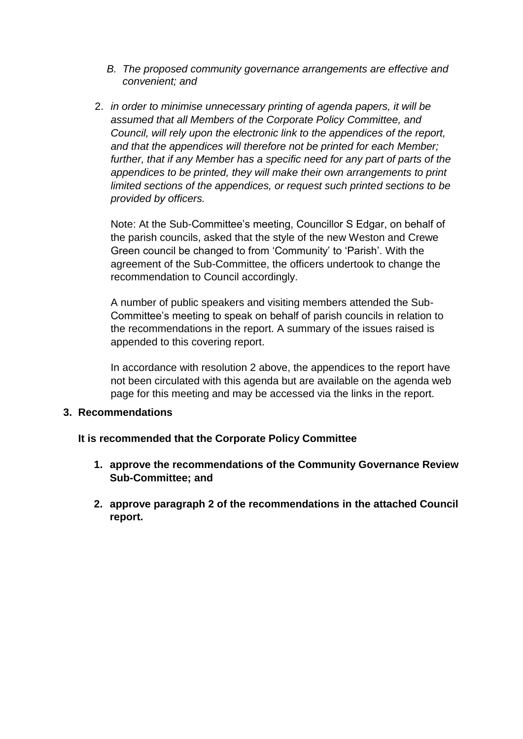- *B. The proposed community governance arrangements are effective and convenient; and*
- 2. *in order to minimise unnecessary printing of agenda papers, it will be assumed that all Members of the Corporate Policy Committee, and Council, will rely upon the electronic link to the appendices of the report, and that the appendices will therefore not be printed for each Member;*  further, that if any Member has a specific need for any part of parts of the *appendices to be printed, they will make their own arrangements to print limited sections of the appendices, or request such printed sections to be provided by officers.*

Note: At the Sub-Committee's meeting, Councillor S Edgar, on behalf of the parish councils, asked that the style of the new Weston and Crewe Green council be changed to from 'Community' to 'Parish'. With the agreement of the Sub-Committee, the officers undertook to change the recommendation to Council accordingly.

A number of public speakers and visiting members attended the Sub-Committee's meeting to speak on behalf of parish councils in relation to the recommendations in the report. A summary of the issues raised is appended to this covering report.

In accordance with resolution 2 above, the appendices to the report have not been circulated with this agenda but are available on the agenda web page for this meeting and may be accessed via the links in the report.

#### **3. Recommendations**

## **It is recommended that the Corporate Policy Committee**

- **1. approve the recommendations of the Community Governance Review Sub-Committee; and**
- **2. approve paragraph 2 of the recommendations in the attached Council report.**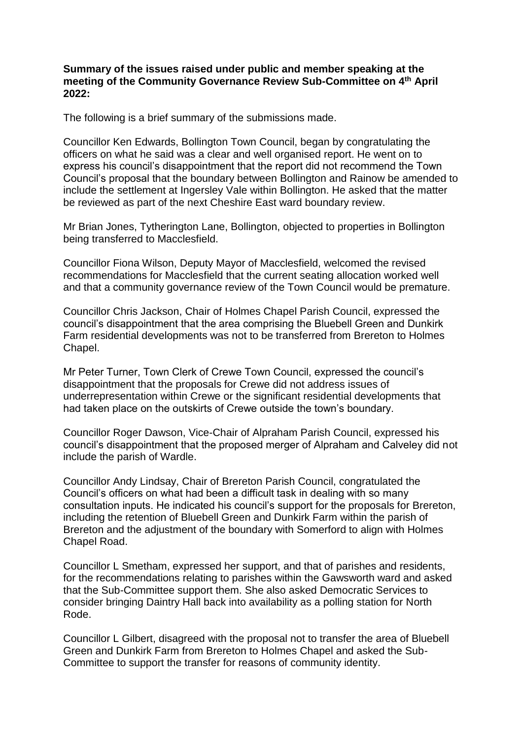#### **Summary of the issues raised under public and member speaking at the meeting of the Community Governance Review Sub-Committee on 4th April 2022:**

The following is a brief summary of the submissions made.

Councillor Ken Edwards, Bollington Town Council, began by congratulating the officers on what he said was a clear and well organised report. He went on to express his council's disappointment that the report did not recommend the Town Council's proposal that the boundary between Bollington and Rainow be amended to include the settlement at Ingersley Vale within Bollington. He asked that the matter be reviewed as part of the next Cheshire East ward boundary review.

Mr Brian Jones, Tytherington Lane, Bollington, objected to properties in Bollington being transferred to Macclesfield.

Councillor Fiona Wilson, Deputy Mayor of Macclesfield, welcomed the revised recommendations for Macclesfield that the current seating allocation worked well and that a community governance review of the Town Council would be premature.

Councillor Chris Jackson, Chair of Holmes Chapel Parish Council, expressed the council's disappointment that the area comprising the Bluebell Green and Dunkirk Farm residential developments was not to be transferred from Brereton to Holmes Chapel.

Mr Peter Turner, Town Clerk of Crewe Town Council, expressed the council's disappointment that the proposals for Crewe did not address issues of underrepresentation within Crewe or the significant residential developments that had taken place on the outskirts of Crewe outside the town's boundary.

Councillor Roger Dawson, Vice-Chair of Alpraham Parish Council, expressed his council's disappointment that the proposed merger of Alpraham and Calveley did not include the parish of Wardle.

Councillor Andy Lindsay, Chair of Brereton Parish Council, congratulated the Council's officers on what had been a difficult task in dealing with so many consultation inputs. He indicated his council's support for the proposals for Brereton, including the retention of Bluebell Green and Dunkirk Farm within the parish of Brereton and the adjustment of the boundary with Somerford to align with Holmes Chapel Road.

Councillor L Smetham, expressed her support, and that of parishes and residents, for the recommendations relating to parishes within the Gawsworth ward and asked that the Sub-Committee support them. She also asked Democratic Services to consider bringing Daintry Hall back into availability as a polling station for North Rode.

Councillor L Gilbert, disagreed with the proposal not to transfer the area of Bluebell Green and Dunkirk Farm from Brereton to Holmes Chapel and asked the Sub-Committee to support the transfer for reasons of community identity.